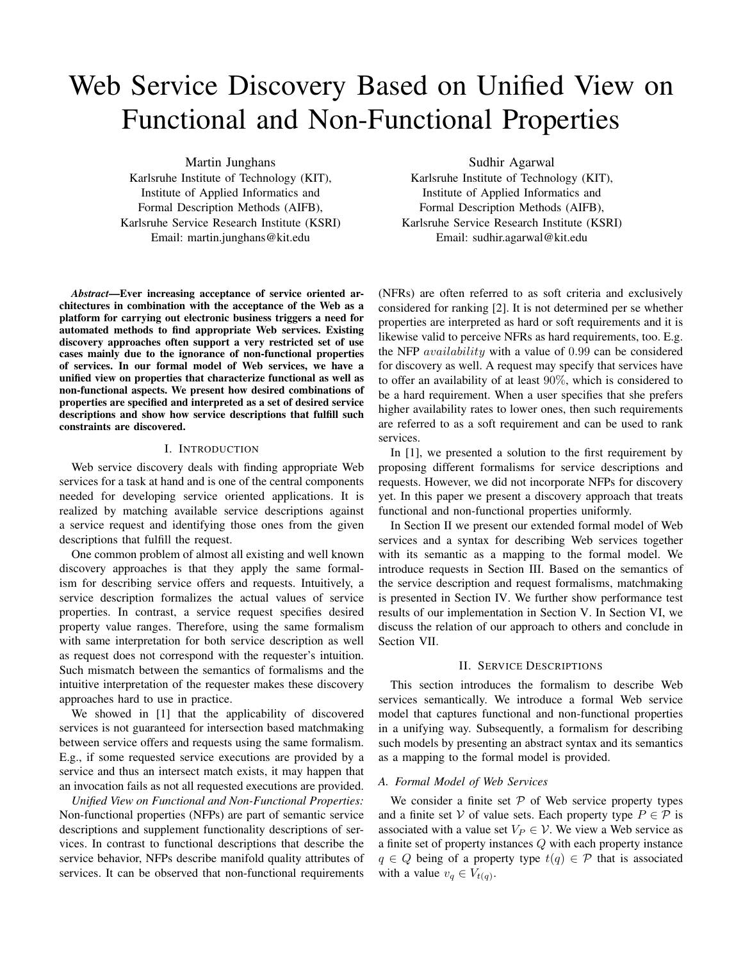# Web Service Discovery Based on Unified View on Functional and Non-Functional Properties

Martin Junghans

Karlsruhe Institute of Technology (KIT), Institute of Applied Informatics and Formal Description Methods (AIFB), Karlsruhe Service Research Institute (KSRI) Email: martin.junghans@kit.edu

*Abstract*—Ever increasing acceptance of service oriented architectures in combination with the acceptance of the Web as a platform for carrying out electronic business triggers a need for automated methods to find appropriate Web services. Existing discovery approaches often support a very restricted set of use cases mainly due to the ignorance of non-functional properties of services. In our formal model of Web services, we have a unified view on properties that characterize functional as well as non-functional aspects. We present how desired combinations of properties are specified and interpreted as a set of desired service descriptions and show how service descriptions that fulfill such constraints are discovered.

# I. INTRODUCTION

Web service discovery deals with finding appropriate Web services for a task at hand and is one of the central components needed for developing service oriented applications. It is realized by matching available service descriptions against a service request and identifying those ones from the given descriptions that fulfill the request.

One common problem of almost all existing and well known discovery approaches is that they apply the same formalism for describing service offers and requests. Intuitively, a service description formalizes the actual values of service properties. In contrast, a service request specifies desired property value ranges. Therefore, using the same formalism with same interpretation for both service description as well as request does not correspond with the requester's intuition. Such mismatch between the semantics of formalisms and the intuitive interpretation of the requester makes these discovery approaches hard to use in practice.

We showed in [1] that the applicability of discovered services is not guaranteed for intersection based matchmaking between service offers and requests using the same formalism. E.g., if some requested service executions are provided by a service and thus an intersect match exists, it may happen that an invocation fails as not all requested executions are provided.

*Unified View on Functional and Non-Functional Properties:* Non-functional properties (NFPs) are part of semantic service descriptions and supplement functionality descriptions of services. In contrast to functional descriptions that describe the service behavior, NFPs describe manifold quality attributes of services. It can be observed that non-functional requirements

Sudhir Agarwal

Karlsruhe Institute of Technology (KIT), Institute of Applied Informatics and Formal Description Methods (AIFB), Karlsruhe Service Research Institute (KSRI) Email: sudhir.agarwal@kit.edu

(NFRs) are often referred to as soft criteria and exclusively considered for ranking [2]. It is not determined per se whether properties are interpreted as hard or soft requirements and it is likewise valid to perceive NFRs as hard requirements, too. E.g. the NFP availability with a value of 0.99 can be considered for discovery as well. A request may specify that services have to offer an availability of at least 90%, which is considered to be a hard requirement. When a user specifies that she prefers higher availability rates to lower ones, then such requirements are referred to as a soft requirement and can be used to rank services.

In [1], we presented a solution to the first requirement by proposing different formalisms for service descriptions and requests. However, we did not incorporate NFPs for discovery yet. In this paper we present a discovery approach that treats functional and non-functional properties uniformly.

In Section II we present our extended formal model of Web services and a syntax for describing Web services together with its semantic as a mapping to the formal model. We introduce requests in Section III. Based on the semantics of the service description and request formalisms, matchmaking is presented in Section IV. We further show performance test results of our implementation in Section V. In Section VI, we discuss the relation of our approach to others and conclude in Section VII.

# II. SERVICE DESCRIPTIONS

This section introduces the formalism to describe Web services semantically. We introduce a formal Web service model that captures functional and non-functional properties in a unifying way. Subsequently, a formalism for describing such models by presenting an abstract syntax and its semantics as a mapping to the formal model is provided.

## *A. Formal Model of Web Services*

We consider a finite set  $P$  of Web service property types and a finite set V of value sets. Each property type  $P \in \mathcal{P}$  is associated with a value set  $V_P \in V$ . We view a Web service as a finite set of property instances Q with each property instance  $q \in Q$  being of a property type  $t(q) \in \mathcal{P}$  that is associated with a value  $v_q \in V_{t(q)}$ .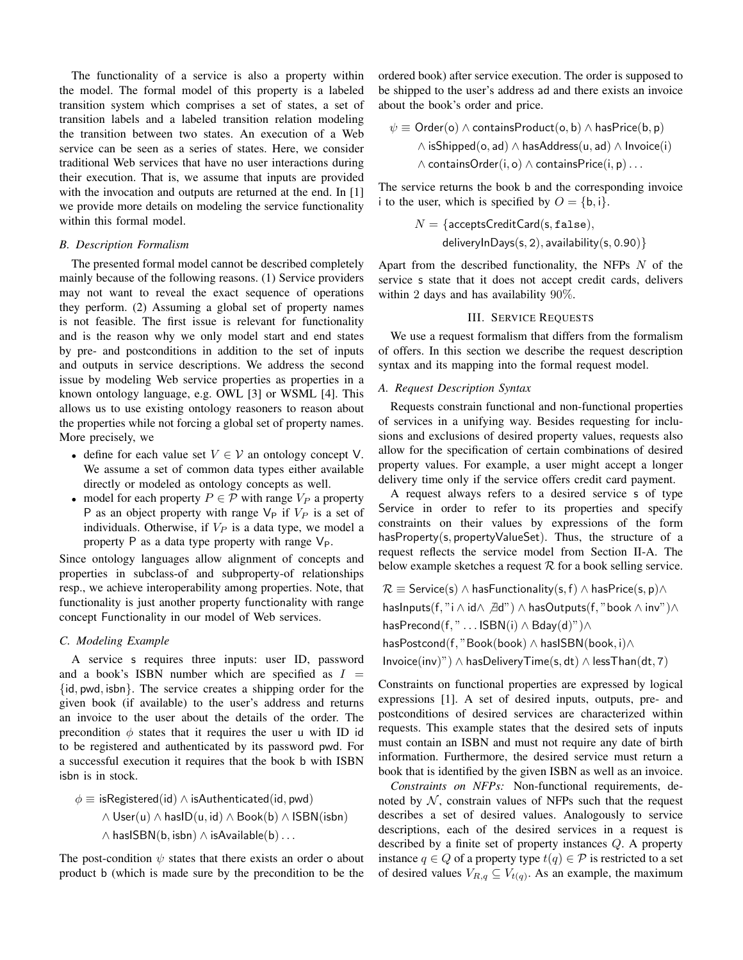The functionality of a service is also a property within the model. The formal model of this property is a labeled transition system which comprises a set of states, a set of transition labels and a labeled transition relation modeling the transition between two states. An execution of a Web service can be seen as a series of states. Here, we consider traditional Web services that have no user interactions during their execution. That is, we assume that inputs are provided with the invocation and outputs are returned at the end. In [1] we provide more details on modeling the service functionality within this formal model.

### *B. Description Formalism*

The presented formal model cannot be described completely mainly because of the following reasons. (1) Service providers may not want to reveal the exact sequence of operations they perform. (2) Assuming a global set of property names is not feasible. The first issue is relevant for functionality and is the reason why we only model start and end states by pre- and postconditions in addition to the set of inputs and outputs in service descriptions. We address the second issue by modeling Web service properties as properties in a known ontology language, e.g. OWL [3] or WSML [4]. This allows us to use existing ontology reasoners to reason about the properties while not forcing a global set of property names. More precisely, we

- define for each value set  $V \in V$  an ontology concept V. We assume a set of common data types either available directly or modeled as ontology concepts as well.
- model for each property  $P \in \mathcal{P}$  with range  $V_P$  a property P as an object property with range  $V_P$  if  $V_P$  is a set of individuals. Otherwise, if  $V_P$  is a data type, we model a property P as a data type property with range  $V_P$ .

Since ontology languages allow alignment of concepts and properties in subclass-of and subproperty-of relationships resp., we achieve interoperability among properties. Note, that functionality is just another property functionality with range concept Functionality in our model of Web services.

# *C. Modeling Example*

A service s requires three inputs: user ID, password and a book's ISBN number which are specified as  $I =$ {id, pwd, isbn}. The service creates a shipping order for the given book (if available) to the user's address and returns an invoice to the user about the details of the order. The precondition  $\phi$  states that it requires the user u with ID id to be registered and authenticated by its password pwd. For a successful execution it requires that the book b with ISBN isbn is in stock.

$$
\phi \equiv \text{isRegistered}(\text{id}) \land \text{isAuthentication}(\text{id}, \text{pwd})
$$
  

$$
\land \text{User}(u) \land \text{hasID}(u, \text{id}) \land \text{Book}(b) \land \text{ISBN}(\text{isbn})
$$
  

$$
\land \text{hasISBN}(b, \text{isbn}) \land \text{isAvailable}(b) \dots
$$

The post-condition  $\psi$  states that there exists an order o about product b (which is made sure by the precondition to be the

ordered book) after service execution. The order is supposed to be shipped to the user's address ad and there exists an invoice about the book's order and price.

$$
\psi \equiv \text{Order}(o) \land \text{containsProduct}(o, b) \land \text{hasPrice}(b, p)
$$
  

$$
\land \text{isShipped}(o, ad) \land \text{hasAddress}(u, ad) \land \text{Invoice}(i)
$$
  

$$
\land \text{containsOrder}(i, o) \land \text{containsPrice}(i, p) \dots
$$

The service returns the book b and the corresponding invoice i to the user, which is specified by  $O = \{b, i\}.$ 

$$
N = \{ \text{acceptsCreditCard(s, false}), \\ \text{deliveryInDays(s, 2), availability(s, 0.90)} \}
$$

Apart from the described functionality, the NFPs  $N$  of the service s state that it does not accept credit cards, delivers within 2 days and has availability 90%.

# III. SERVICE REQUESTS

We use a request formalism that differs from the formalism of offers. In this section we describe the request description syntax and its mapping into the formal request model.

# *A. Request Description Syntax*

Requests constrain functional and non-functional properties of services in a unifying way. Besides requesting for inclusions and exclusions of desired property values, requests also allow for the specification of certain combinations of desired property values. For example, a user might accept a longer delivery time only if the service offers credit card payment.

A request always refers to a desired service s of type Service in order to refer to its properties and specify constraints on their values by expressions of the form hasProperty(s, propertyValueSet). Thus, the structure of a request reflects the service model from Section II-A. The below example sketches a request  $R$  for a book selling service.

 $\mathcal{R} \equiv$  Service(s)  $\wedge$  has Functionality(s, f)  $\wedge$  has Price(s, p) $\wedge$ hasInputs(f, "i  $\land$  id $\land$   $\exists d$ ")  $\land$  hasOutputs(f, "book  $\land$  inv") $\land$ hasPrecond(f, " . . . ISBN(i) ∧ Bday(d)")∧

hasPostcond(f, "Book(book) ∧ hasISBN(book, i)∧

Invoice(inv)")  $\land$  hasDeliveryTime(s, dt)  $\land$  lessThan(dt, 7)

Constraints on functional properties are expressed by logical expressions [1]. A set of desired inputs, outputs, pre- and postconditions of desired services are characterized within requests. This example states that the desired sets of inputs must contain an ISBN and must not require any date of birth information. Furthermore, the desired service must return a book that is identified by the given ISBN as well as an invoice.

*Constraints on NFPs:* Non-functional requirements, denoted by  $N$ , constrain values of NFPs such that the request describes a set of desired values. Analogously to service descriptions, each of the desired services in a request is described by a finite set of property instances Q. A property instance  $q \in Q$  of a property type  $t(q) \in \mathcal{P}$  is restricted to a set of desired values  $V_{R,q} \subseteq V_{t(q)}$ . As an example, the maximum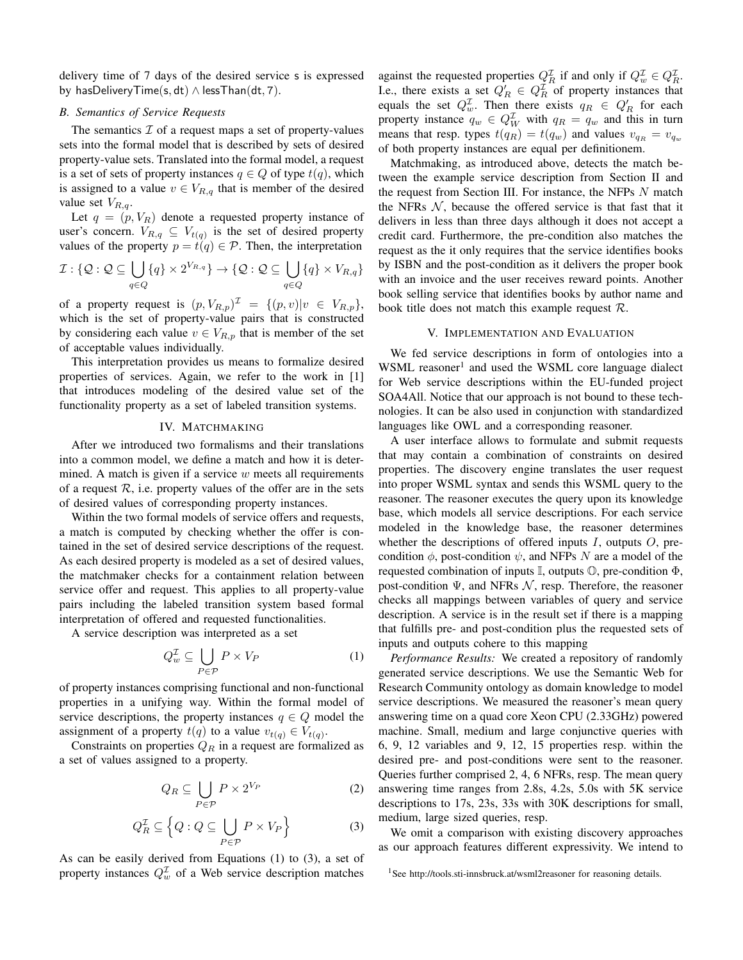delivery time of 7 days of the desired service s is expressed by hasDeliveryTime(s, dt)  $\land$  lessThan(dt, 7).

# *B. Semantics of Service Requests*

The semantics  $\mathcal I$  of a request maps a set of property-values sets into the formal model that is described by sets of desired property-value sets. Translated into the formal model, a request is a set of sets of property instances  $q \in Q$  of type  $t(q)$ , which is assigned to a value  $v \in V_{R,q}$  that is member of the desired value set  $V_{R,q}$ .

Let  $q = (p, V_R)$  denote a requested property instance of user's concern.  $V_{R,q} \subseteq V_{t(q)}$  is the set of desired property values of the property  $p = t(q) \in \mathcal{P}$ . Then, the interpretation

$$
\mathcal{I}: \{\mathcal{Q}: \mathcal{Q} \subseteq \bigcup_{q \in Q} \{q\} \times 2^{V_{R,q}} \} \to \{\mathcal{Q}: \mathcal{Q} \subseteq \bigcup_{q \in Q} \{q\} \times V_{R,q} \}
$$

of a property request is  $(p, V_{R,p})^{\mathcal{I}} = \{(p, v)|v \in V_{R,p}\},\$ which is the set of property-value pairs that is constructed by considering each value  $v \in V_{R,p}$  that is member of the set of acceptable values individually.

This interpretation provides us means to formalize desired properties of services. Again, we refer to the work in [1] that introduces modeling of the desired value set of the functionality property as a set of labeled transition systems.

# IV. MATCHMAKING

After we introduced two formalisms and their translations into a common model, we define a match and how it is determined. A match is given if a service  $w$  meets all requirements of a request  $\mathcal{R}$ , i.e. property values of the offer are in the sets of desired values of corresponding property instances.

Within the two formal models of service offers and requests, a match is computed by checking whether the offer is contained in the set of desired service descriptions of the request. As each desired property is modeled as a set of desired values, the matchmaker checks for a containment relation between service offer and request. This applies to all property-value pairs including the labeled transition system based formal interpretation of offered and requested functionalities.

A service description was interpreted as a set

$$
Q_w^{\mathcal{I}} \subseteq \bigcup_{P \in \mathcal{P}} P \times V_P \tag{1}
$$

of property instances comprising functional and non-functional properties in a unifying way. Within the formal model of service descriptions, the property instances  $q \in Q$  model the assignment of a property  $t(q)$  to a value  $v_{t(q)} \in V_{t(q)}$ .

Constraints on properties  $Q_R$  in a request are formalized as a set of values assigned to a property.

$$
Q_R \subseteq \bigcup_{P \in \mathcal{P}} P \times 2^{V_P} \tag{2}
$$

$$
Q_R^{\mathcal{I}} \subseteq \left\{ Q : Q \subseteq \bigcup_{P \in \mathcal{P}} P \times V_P \right\} \tag{3}
$$

As can be easily derived from Equations (1) to (3), a set of property instances  $Q_w^{\mathcal{I}}$  of a Web service description matches

against the requested properties  $Q_R^{\mathcal{I}}$  if and only if  $Q_w^{\mathcal{I}} \in Q_R^{\mathcal{I}}$ . I.e., there exists a set  $Q'_R \in Q_R^{\mathcal{I}}$  of property instances that equals the set  $Q_w^{\mathcal{I}}$ . Then there exists  $q_R \in Q'_R$  for each property instance  $q_w \in Q_W^{\mathcal{I}}$  with  $q_R = q_w$  and this in turn means that resp. types  $t(q_R) = t(q_w)$  and values  $v_{q_R} = v_{q_w}$ of both property instances are equal per definitionem.

Matchmaking, as introduced above, detects the match between the example service description from Section II and the request from Section III. For instance, the NFPs N match the NFRs  $N$ , because the offered service is that fast that it delivers in less than three days although it does not accept a credit card. Furthermore, the pre-condition also matches the request as the it only requires that the service identifies books by ISBN and the post-condition as it delivers the proper book with an invoice and the user receives reward points. Another book selling service that identifies books by author name and book title does not match this example request R.

# V. IMPLEMENTATION AND EVALUATION

We fed service descriptions in form of ontologies into a WSML reasoner<sup>1</sup> and used the WSML core language dialect for Web service descriptions within the EU-funded project SOA4All. Notice that our approach is not bound to these technologies. It can be also used in conjunction with standardized languages like OWL and a corresponding reasoner.

A user interface allows to formulate and submit requests that may contain a combination of constraints on desired properties. The discovery engine translates the user request into proper WSML syntax and sends this WSML query to the reasoner. The reasoner executes the query upon its knowledge base, which models all service descriptions. For each service modeled in the knowledge base, the reasoner determines whether the descriptions of offered inputs  $I$ , outputs  $O$ , precondition  $\phi$ , post-condition  $\psi$ , and NFPs N are a model of the requested combination of inputs  $\mathbb{I}$ , outputs  $\mathbb{O}$ , pre-condition  $\Phi$ , post-condition  $\Psi$ , and NFRs  $\mathcal N$ , resp. Therefore, the reasoner checks all mappings between variables of query and service description. A service is in the result set if there is a mapping that fulfills pre- and post-condition plus the requested sets of inputs and outputs cohere to this mapping

*Performance Results:* We created a repository of randomly generated service descriptions. We use the Semantic Web for Research Community ontology as domain knowledge to model service descriptions. We measured the reasoner's mean query answering time on a quad core Xeon CPU (2.33GHz) powered machine. Small, medium and large conjunctive queries with 6, 9, 12 variables and 9, 12, 15 properties resp. within the desired pre- and post-conditions were sent to the reasoner. Queries further comprised 2, 4, 6 NFRs, resp. The mean query answering time ranges from 2.8s, 4.2s, 5.0s with 5K service descriptions to 17s, 23s, 33s with 30K descriptions for small, medium, large sized queries, resp.

We omit a comparison with existing discovery approaches as our approach features different expressivity. We intend to

<sup>&</sup>lt;sup>1</sup>See http://tools.sti-innsbruck.at/wsml2reasoner for reasoning details.